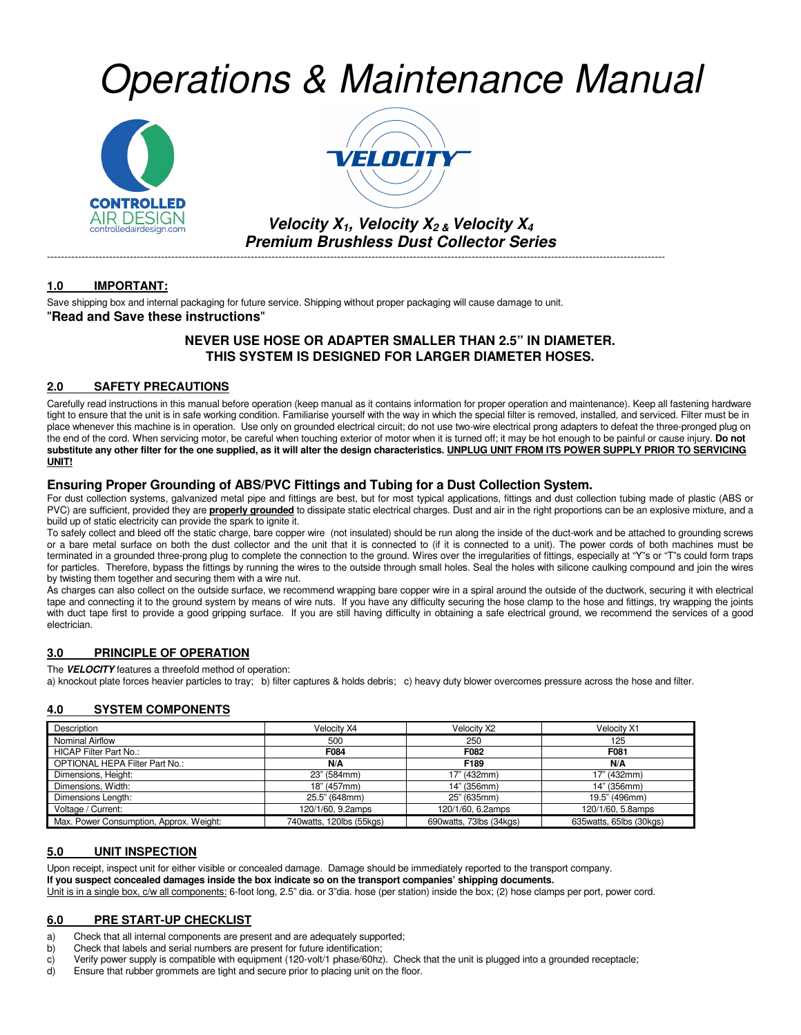# Operations & Maintenance Manual





**Velocity**  $X_1$ **, Velocity**  $X_2$  **& Velocity**  $X_4$ **Premium Brushless Dust Collector Series** 

-----------------------------------------------------------------------------------------------------------------------------------------------------------------------------------

#### **1.0 IMPORTANT:**

Save shipping box and internal packaging for future service. Shipping without proper packaging will cause damage to unit. "**Read and Save these instructions**"

#### **NEVER USE HOSE OR ADAPTER SMALLER THAN 2.5" IN DIAMETER. THIS SYSTEM IS DESIGNED FOR LARGER DIAMETER HOSES.**

#### **2.0 SAFETY PRECAUTIONS**

Carefully read instructions in this manual before operation (keep manual as it contains information for proper operation and maintenance). Keep all fastening hardware tight to ensure that the unit is in safe working condition. Familiarise yourself with the way in which the special filter is removed, installed, and serviced. Filter must be in place whenever this machine is in operation. Use only on grounded electrical circuit; do not use two-wire electrical prong adapters to defeat the three-pronged plug on the end of the cord. When servicing motor, be careful when touching exterior of motor when it is turned off; it may be hot enough to be painful or cause injury. **Do not**  substitute any other filter for the one supplied, as it will alter the design characteristics. UNPLUG UNIT FROM ITS POWER SUPPLY PRIOR TO SERVICING **UNIT!**

#### **Ensuring Proper Grounding of ABS/PVC Fittings and Tubing for a Dust Collection System.**

For dust collection systems, galvanized metal pipe and fittings are best, but for most typical applications, fittings and dust collection tubing made of plastic (ABS or PVC) are sufficient, provided they are **properly grounded** to dissipate static electrical charges. Dust and air in the right proportions can be an explosive mixture, and a build up of static electricity can provide the spark to ignite it.

To safely collect and bleed off the static charge, bare copper wire (not insulated) should be run along the inside of the duct-work and be attached to grounding screws or a bare metal surface on both the dust collector and the unit that it is connected to (if it is connected to a unit). The power cords of both machines must be terminated in a grounded three-prong plug to complete the connection to the ground. Wires over the irregularities of fittings, especially at "Y"s or "T"s could form traps for particles. Therefore, bypass the fittings by running the wires to the outside through small holes. Seal the holes with silicone caulking compound and join the wires by twisting them together and securing them with a wire nut.

As charges can also collect on the outside surface, we recommend wrapping bare copper wire in a spiral around the outside of the ductwork, securing it with electrical tape and connecting it to the ground system by means of wire nuts. If you have any difficulty securing the hose clamp to the hose and fittings, try wrapping the joints with duct tape first to provide a good gripping surface. If you are still having difficulty in obtaining a safe electrical ground, we recommend the services of a good electrician.

#### **3.0 PRINCIPLE OF OPERATION**

The **VELOCITY** features a threefold method of operation:

a) knockout plate forces heavier particles to tray; b) filter captures & holds debris; c) heavy duty blower overcomes pressure across the hose and filter.

#### **4.0 SYSTEM COMPONENTS**

| Description                             | Velocity X4                 | Velocity X2             | Velocity X1               |
|-----------------------------------------|-----------------------------|-------------------------|---------------------------|
| <b>Nominal Airflow</b>                  | 500                         | 250                     | 125                       |
| HICAP Filter Part No.:                  | F084                        | F082                    | F081                      |
| OPTIONAL HEPA Filter Part No.:          | N/A                         | F189                    | N/A                       |
| Dimensions, Height:                     | 23" (584mm)                 | 17" (432mm)             | 17" (432mm)               |
| Dimensions, Width:                      | 18" (457mm)                 | 14" (356mm)             | 14" (356mm)               |
| Dimensions Length:                      | 25.5" (648mm)               | 25" (635mm)             | 19.5" (496mm)             |
| Voltage / Current:                      | 120/1/60, 9.2amps           | 120/1/60, 6.2amps       | 120/1/60, 5.8amps         |
| Max. Power Consumption, Approx. Weight: | 740 watts, 120 lbs (55 kgs) | 690watts, 73lbs (34kgs) | 635 watts, 65lbs (30 kgs) |

#### **5.0 UNIT INSPECTION**

Upon receipt, inspect unit for either visible or concealed damage. Damage should be immediately reported to the transport company.

**If you suspect concealed damages inside the box indicate so on the transport companies' shipping documents.** 

Unit is in a single box, c/w all components: 6-foot long, 2.5" dia. or 3"dia. hose (per station) inside the box; (2) hose clamps per port, power cord.

#### **6.0 PRE START-UP CHECKLIST**

- a) Check that all internal components are present and are adequately supported;
- b) Check that labels and serial numbers are present for future identification;
- c) Verify power supply is compatible with equipment (120-volt/1 phase/60hz). Check that the unit is plugged into a grounded receptacle;<br>d) Ensure that rubber grommets are tight and secure prior to placing unit on the floor
- Ensure that rubber grommets are tight and secure prior to placing unit on the floor.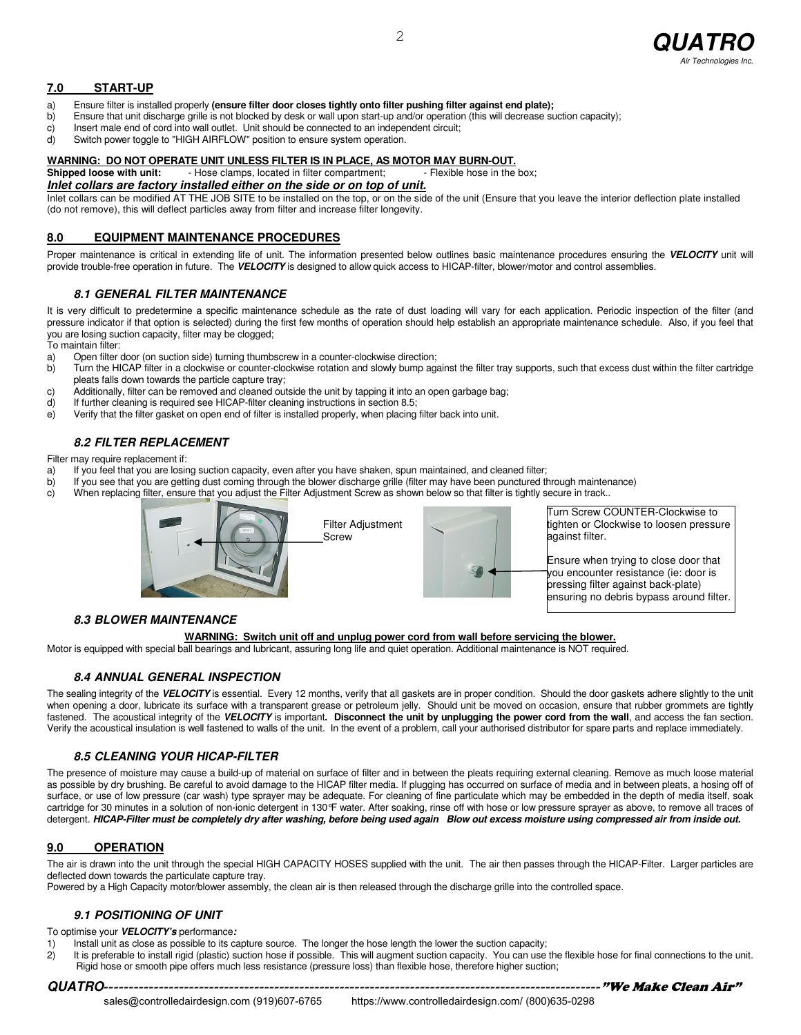

#### **7.0 START-UP**

- a) Ensure filter is installed properly **(ensure filter door closes tightly onto filter pushing filter against end plate);**
- b) Ensure that unit discharge grille is not blocked by desk or wall upon start-up and/or operation (this will decrease suction capacity);
- c) Insert male end of cord into wall outlet. Unit should be connected to an independent circuit;
- d) Switch power toggle to "HIGH AIRFLOW" position to ensure system operation.

## **WARNING: DO NOT OPERATE UNIT UNLESS FILTER IS IN PLACE, AS MOTOR MAY BURN-OUT.**<br>Shipped loose with unit: Fig. Hose clamps, located in filter compartment; Flexible hose in the box;

- Hose clamps, located in filter compartment;

#### **Inlet collars are factory installed either on the side or on top of unit.**

Inlet collars can be modified AT THE JOB SITE to be installed on the top, or on the side of the unit (Ensure that you leave the interior deflection plate installed (do not remove), this will deflect particles away from filter and increase filter longevity.

#### **8.0 EQUIPMENT MAINTENANCE PROCEDURES**

Proper maintenance is critical in extending life of unit. The information presented below outlines basic maintenance procedures ensuring the VELOCITY unit will provide trouble-free operation in future. The **VELOCITY** is designed to allow quick access to HICAP-filter, blower/motor and control assemblies.

#### **8.1 GENERAL FILTER MAINTENANCE**

It is very difficult to predetermine a specific maintenance schedule as the rate of dust loading will vary for each application. Periodic inspection of the filter (and pressure indicator if that option is selected) during the first few months of operation should help establish an appropriate maintenance schedule. Also, if you feel that you are losing suction capacity, filter may be clogged;

To maintain filter:

- a) Open filter door (on suction side) turning thumbscrew in a counter-clockwise direction;
- b) Turn the HICAP filter in a clockwise or counter-clockwise rotation and slowly bump against the filter tray supports, such that excess dust within the filter cartridge pleats falls down towards the particle capture tray;
- c) Additionally, filter can be removed and cleaned outside the unit by tapping it into an open garbage bag;<br>d) If further cleaning is required see HICAP-filter cleaning instructions in section 8.5:
- If further cleaning is required see HICAP-filter cleaning instructions in section 8.5;
- e) Verify that the filter gasket on open end of filter is installed properly, when placing filter back into unit.

#### **8.2 FILTER REPLACEMENT**

Filter may require replacement if:

- a) If you feel that you are losing suction capacity, even after you have shaken, spun maintained, and cleaned filter;
- b) If you see that you are getting dust coming through the blower discharge grille (filter may have been punctured through maintenance) c) When replacing filter, ensure that you adjust the Filter Adjustment Screw as shown
- When replacing filter, ensure that you adjust the Filter Adjustment Screw as shown below so that filter is tightly secure in track..



Filter Adjustment



Turn Screw COUNTER-Clockwise to tighten or Clockwise to loosen pressure against filter.

Ensure when trying to close door that you encounter resistance (ie: door is pressing filter against back-plate) ensuring no debris bypass around filter.

#### **8.3 BLOWER MAINTENANCE**

#### **WARNING: Switch unit off and unplug power cord from wall before servicing the blower.**

Motor is equipped with special ball bearings and lubricant, assuring long life and quiet operation. Additional maintenance is NOT required.

#### **8.4 ANNUAL GENERAL INSPECTION**

The sealing integrity of the VELOCITY is essential. Every 12 months, verify that all gaskets are in proper condition. Should the door gaskets adhere slightly to the unit when opening a door, lubricate its surface with a transparent grease or petroleum jelly. Should unit be moved on occasion, ensure that rubber grommets are tightly when opening a door, lubricate its surface with a transpare fastened. The acoustical integrity of the **VELOCITY** is important**. Disconnect the unit by unplugging the power cord from the wall**, and access the fan section. Verify the acoustical insulation is well fastened to walls of the unit. In the event of a problem, call your authorised distributor for spare parts and replace immediately.

#### **8.5 CLEANING YOUR HICAP-FILTER**

The presence of moisture may cause a build-up of material on surface of filter and in between the pleats requiring external cleaning. Remove as much loose material as possible by dry brushing. Be careful to avoid damage to the HICAP filter media. If plugging has occurred on surface of media and in between pleats, a hosing off of surface, or use of low pressure (car wash) type sprayer may be adequate. For cleaning of fine particulate which may be embedded in the depth of media itself, soak cartridge for 30 minutes in a solution of non-ionic detergent in 130°F water. After soaking, rinse off with hose or low pressure sprayer as above, to remove all traces of detergent. **HICAP-Filter must be completely dry after washing, before being used again Blow out excess moisture using compressed air from inside out.** 

#### **9.0 OPERATION**

The air is drawn into the unit through the special HIGH CAPACITY HOSES supplied with the unit. The air then passes through the HICAP-Filter. Larger particles are deflected down towards the particulate capture tray.

Powered by a High Capacity motor/blower assembly, the clean air is then released through the discharge grille into the controlled space.

#### **9.1 POSITIONING OF UNIT**

To optimise your **VELOCITY's** performance**:** 

- 1) Install unit as close as possible to its capture source. The longer the hose length the lower the suction capacity;
- 2) It is preferable to install rigid (plastic) suction hose if possible. This will augment suction capacity. You can use the flexible hose for final connections to the unit. Rigid hose or smooth pipe offers much less resistance (pressure loss) than flexible hose, therefore higher suction;

**QUATRO**---------------------------------------------------------------------------------------------------"We Make Clean Air" sales@controlledairdesign.com (919)607-6765 https://www.controlledairdesign.com/ (800)635-0298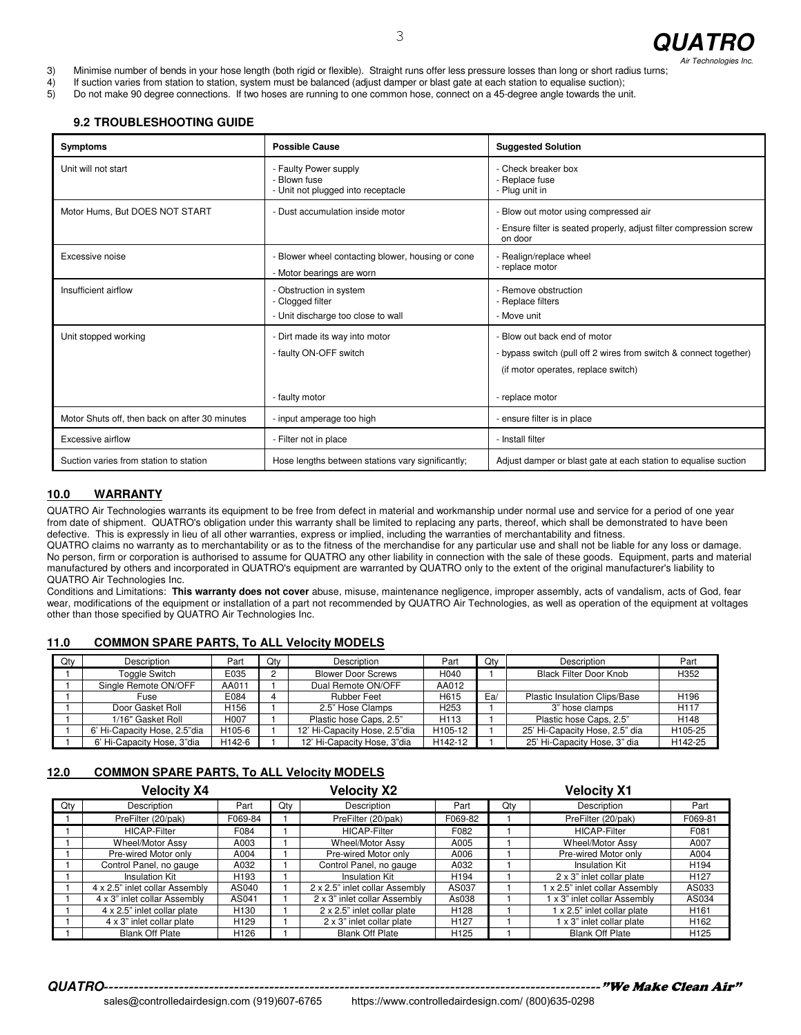

3) Minimise number of bends in your hose length (both rigid or flexible). Straight runs offer less pressure losses than long or short radius turns;

4) If suction varies from station to station, system must be balanced (adjust damper or blast gate at each station to equalise suction);<br>5) Do not make 90 degree connections. If two hoses are running to one common hose, co

5) Do not make 90 degree connections. If two hoses are running to one common hose, connect on a 45-degree angle towards the unit.

#### **9.2 TROUBLESHOOTING GUIDE**

| <b>Symptoms</b>                                | <b>Possible Cause</b>                                                       | <b>Suggested Solution</b>                                                                                    |  |  |
|------------------------------------------------|-----------------------------------------------------------------------------|--------------------------------------------------------------------------------------------------------------|--|--|
| Unit will not start                            | - Faulty Power supply<br>- Blown fuse<br>- Unit not plugged into receptacle | - Check breaker box<br>- Replace fuse<br>- Plug unit in                                                      |  |  |
| Motor Hums, But DOES NOT START                 | - Dust accumulation inside motor                                            | - Blow out motor using compressed air<br>- Ensure filter is seated properly, adjust filter compression screw |  |  |
|                                                |                                                                             | on door                                                                                                      |  |  |
| Excessive noise                                | - Blower wheel contacting blower, housing or cone                           | - Realign/replace wheel<br>- replace motor                                                                   |  |  |
|                                                | - Motor bearings are worn                                                   |                                                                                                              |  |  |
| Insufficient airflow                           | - Obstruction in system<br>- Clogged filter                                 | - Remove obstruction<br>- Replace filters                                                                    |  |  |
|                                                | - Unit discharge too close to wall                                          | - Move unit                                                                                                  |  |  |
| Unit stopped working                           | - Dirt made its way into motor                                              | - Blow out back end of motor                                                                                 |  |  |
|                                                | - faulty ON-OFF switch                                                      | - bypass switch (pull off 2 wires from switch & connect together)                                            |  |  |
|                                                |                                                                             | (if motor operates, replace switch)                                                                          |  |  |
|                                                | - faulty motor                                                              | - replace motor                                                                                              |  |  |
| Motor Shuts off, then back on after 30 minutes | - input amperage too high                                                   | - ensure filter is in place                                                                                  |  |  |
| Excessive airflow                              | - Filter not in place                                                       | - Install filter                                                                                             |  |  |
| Suction varies from station to station         | Hose lengths between stations vary significantly;                           | Adjust damper or blast gate at each station to equalise suction                                              |  |  |

#### **10.0 WARRANTY**

QUATRO Air Technologies warrants its equipment to be free from defect in material and workmanship under normal use and service for a period of one year from date of shipment. QUATRO's obligation under this warranty shall be limited to replacing any parts, thereof, which shall be demonstrated to have been defective. This is expressly in lieu of all other warranties, express or implied, including the warranties of merchantability and fitness.

QUATRO claims no warranty as to merchantability or as to the fitness of the merchandise for any particular use and shall not be liable for any loss or damage. No person, firm or corporation is authorised to assume for QUATRO any other liability in connection with the sale of these goods. Equipment, parts and material manufactured by others and incorporated in QUATRO's equipment are warranted by QUATRO only to the extent of the original manufacturer's liability to QUATRO Air Technologies Inc.

Conditions and Limitations: **This warranty does not cover** abuse, misuse, maintenance negligence, improper assembly, acts of vandalism, acts of God, fear wear, modifications of the equipment or installation of a part not recommended by QUATRO Air Technologies, as well as operation of the equipment at voltages other than those specified by QUATRO Air Technologies Inc.

#### **11.0 COMMON SPARE PARTS, To ALL Velocity MODELS**

| Qty | <b>Description</b>           | Part              | Qtv | Description                   | Part             | Qtv | Description                          | Part             |
|-----|------------------------------|-------------------|-----|-------------------------------|------------------|-----|--------------------------------------|------------------|
|     | <b>Toggle Switch</b>         | E035              |     | <b>Blower Door Screws</b>     | H040             |     | <b>Black Filter Door Knob</b>        | H352             |
|     | Single Remote ON/OFF         | AA011             |     | Dual Remote ON/OFF            | AA012            |     |                                      |                  |
|     | Fuse                         | E084              |     | <b>Rubber Feet</b>            | H615             | Ea/ | <b>Plastic Insulation Clips/Base</b> | H <sub>196</sub> |
|     | Door Gasket Roll             | H <sub>156</sub>  |     | 2.5" Hose Clamps              | H <sub>253</sub> |     | 3" hose clamps                       | H <sub>117</sub> |
|     | 1/16" Gasket Roll            | H <sub>0</sub> 07 |     | Plastic hose Caps, 2.5"       | H <sub>113</sub> |     | Plastic hose Caps, 2.5"              | H148             |
|     | 6' Hi-Capacity Hose, 2.5"dia | H105-6            |     | 12' Hi-Capacity Hose, 2.5"dia | H105-12          |     | 25' Hi-Capacity Hose, 2.5" dia       | H105-25          |
|     | 6' Hi-Capacity Hose, 3"dia   | H142-6            |     | 12' Hi-Capacity Hose, 3"dia   | H142-12          |     | 25' Hi-Capacity Hose, 3" dia         | H142-25          |

#### **12.0 COMMON SPARE PARTS, To ALL Velocity MODELS**

|     | <b>Velocity X4</b>             |                  |     | <b>Velocity X2</b>             |                  |     | <b>Velocity X1</b>           |                  |
|-----|--------------------------------|------------------|-----|--------------------------------|------------------|-----|------------------------------|------------------|
| Qty | Description                    | Part             | Qty | Description                    | Part             | Qty | Description                  | Part             |
|     | PreFilter (20/pak)             | F069-84          |     | PreFilter (20/pak)             | F069-82          |     | PreFilter (20/pak)           | F069-81          |
|     | <b>HICAP-Filter</b>            | F084             |     | <b>HICAP-Filter</b>            | F082             |     | <b>HICAP-Filter</b>          | F081             |
|     | Wheel/Motor Assy               | A003             |     | <b>Wheel/Motor Assv</b>        | A005             |     | <b>Wheel/Motor Assv</b>      | A007             |
|     | Pre-wired Motor only           | A004             |     | Pre-wired Motor only           | A006             |     | Pre-wired Motor only         | A004             |
|     | Control Panel, no gauge        | A032             |     | Control Panel, no gauge        | A032             |     | <b>Insulation Kit</b>        | H <sub>194</sub> |
|     | Insulation Kit                 | H <sub>193</sub> |     | <b>Insulation Kit</b>          | H <sub>194</sub> |     | 2 x 3" inlet collar plate    | H <sub>127</sub> |
|     | 4 x 2.5" inlet collar Assembly | AS040            |     | 2 x 2.5" inlet collar Assembly | AS037            |     | x 2.5" inlet collar Assembly | AS033            |
|     | 4 x 3" inlet collar Assembly   | AS041            |     | 2 x 3" inlet collar Assembly   | As038            |     | 1 x 3" inlet collar Assembly | AS034            |
|     | 4 x 2.5" inlet collar plate    | H <sub>130</sub> |     | 2 x 2.5" inlet collar plate    | H <sub>128</sub> |     | 1 x 2.5" inlet collar plate  | H <sub>161</sub> |
|     | 4 x 3" inlet collar plate      | H <sub>129</sub> |     | 2 x 3" inlet collar plate      | H <sub>127</sub> |     | 1 x 3" inlet collar plate    | H <sub>162</sub> |
|     | <b>Blank Off Plate</b>         | H <sub>126</sub> |     | <b>Blank Off Plate</b>         | H <sub>125</sub> |     | <b>Blank Off Plate</b>       | H <sub>125</sub> |

**QUATRO**---------------------------------------------------------------------------------------------------"We Make Clean Air"